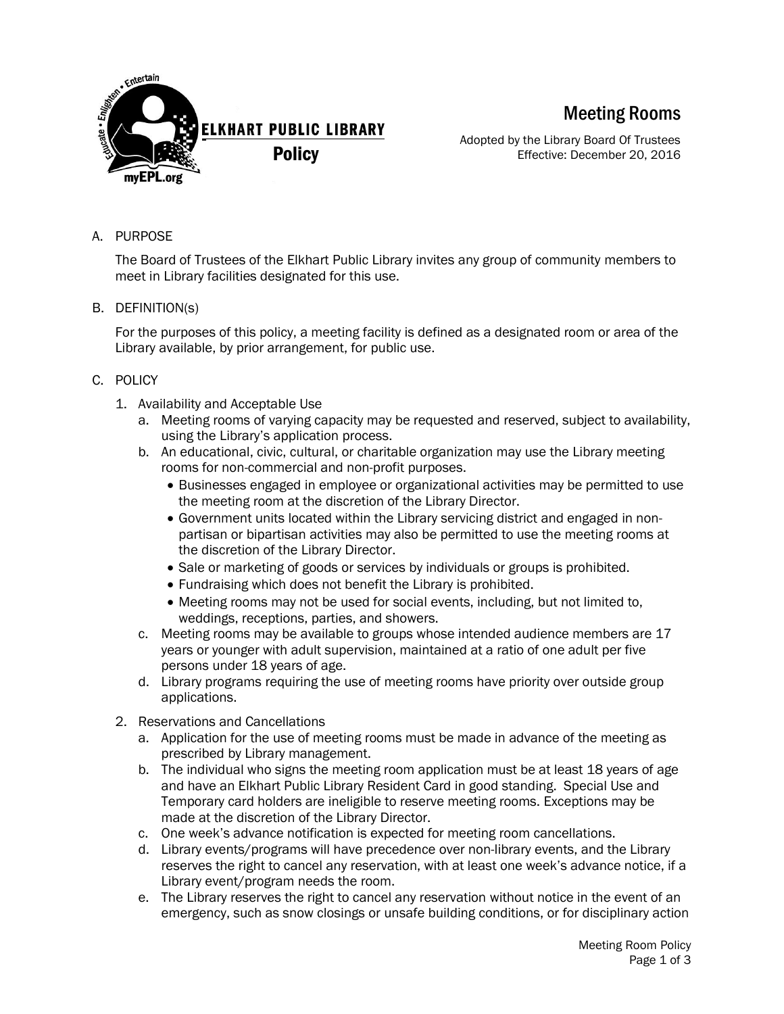

Meeting Rooms

Adopted by the Library Board Of Trustees Effective: December 20, 2016

A. PURPOSE

The Board of Trustees of the Elkhart Public Library invites any group of community members to meet in Library facilities designated for this use.

B. DEFINITION(s)

For the purposes of this policy, a meeting facility is defined as a designated room or area of the Library available, by prior arrangement, for public use.

- C. POLICY
	- 1. Availability and Acceptable Use
		- a. Meeting rooms of varying capacity may be requested and reserved, subject to availability, using the Library's application process.
		- b. An educational, civic, cultural, or charitable organization may use the Library meeting rooms for non-commercial and non-profit purposes.
			- Businesses engaged in employee or organizational activities may be permitted to use the meeting room at the discretion of the Library Director.
			- Government units located within the Library servicing district and engaged in nonpartisan or bipartisan activities may also be permitted to use the meeting rooms at the discretion of the Library Director.
			- Sale or marketing of goods or services by individuals or groups is prohibited.
			- Fundraising which does not benefit the Library is prohibited.
			- Meeting rooms may not be used for social events, including, but not limited to, weddings, receptions, parties, and showers.
		- c. Meeting rooms may be available to groups whose intended audience members are 17 years or younger with adult supervision, maintained at a ratio of one adult per five persons under 18 years of age.
		- d. Library programs requiring the use of meeting rooms have priority over outside group applications.
	- 2. Reservations and Cancellations
		- a. Application for the use of meeting rooms must be made in advance of the meeting as prescribed by Library management.
		- b. The individual who signs the meeting room application must be at least 18 years of age and have an Elkhart Public Library Resident Card in good standing. Special Use and Temporary card holders are ineligible to reserve meeting rooms. Exceptions may be made at the discretion of the Library Director.
		- c. One week's advance notification is expected for meeting room cancellations.
		- d. Library events/programs will have precedence over non-library events, and the Library reserves the right to cancel any reservation, with at least one week's advance notice, if a Library event/program needs the room.
		- e. The Library reserves the right to cancel any reservation without notice in the event of an emergency, such as snow closings or unsafe building conditions, or for disciplinary action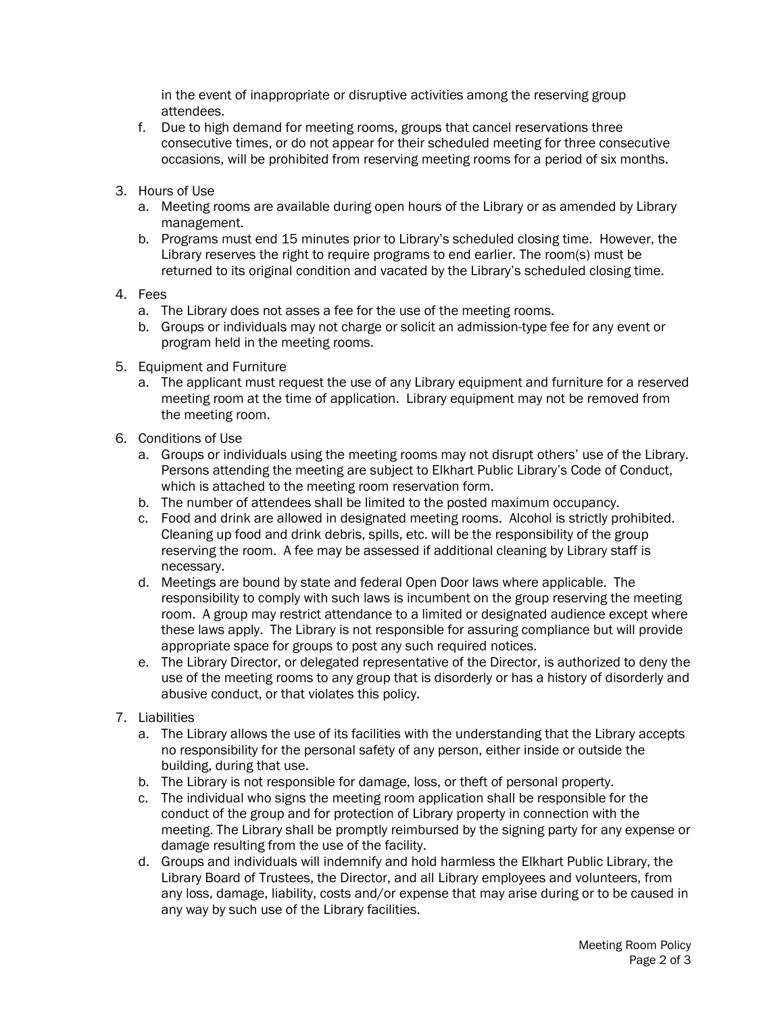in the event of inappropriate or disruptive activities among the reserving group attendees.

- f. Due to high demand for meeting rooms, groups that cancel reservations three consecutive times, or do not appear for their scheduled meeting for three consecutive occasions, will be prohibited from reserving meeting rooms for a period of six months.
- 3. Hours of Use
	- a. Meeting rooms are available during open hours of the Library or as amended by Library management.
	- b. Programs must end 15 minutes prior to Library's scheduled closing time. However, the Library reserves the right to require programs to end earlier. The room(s) must be returned to its original condition and vacated by the Library's scheduled closing time.
- 4. Fees
	- a. The Library does not asses a fee for the use of the meeting rooms.
	- b. Groups or individuals may not charge or solicit an admission-type fee for any event or program held in the meeting rooms.
- 5. Equipment and Furniture
	- a. The applicant must request the use of any Library equipment and furniture for a reserved meeting room at the time of application. Library equipment may not be removed from the meeting room.
- 6. Conditions of Use
	- a. Groups or individuals using the meeting rooms may not disrupt others' use of the Library. Persons attending the meeting are subject to Elkhart Public Library's Code of Conduct, which is attached to the meeting room reservation form.
	- b. The number of attendees shall be limited to the posted maximum occupancy.
	- c. Food and drink are allowed in designated meeting rooms. Alcohol is strictly prohibited. Cleaning up food and drink debris, spills, etc. will be the responsibility of the group reserving the room. A fee may be assessed if additional cleaning by Library staff is necessary.
	- d. Meetings are bound by state and federal Open Door laws where applicable. The responsibility to comply with such laws is incumbent on the group reserving the meeting room. A group may restrict attendance to a limited or designated audience except where these laws apply. The Library is not responsible for assuring compliance but will provide appropriate space for groups to post any such required notices.
	- e. The Library Director, or delegated representative of the Director, is authorized to deny the use of the meeting rooms to any group that is disorderly or has a history of disorderly and abusive conduct, or that violates this policy.
- 7. Liabilities
	- a. The Library allows the use of its facilities with the understanding that the Library accepts no responsibility for the personal safety of any person, either inside or outside the building, during that use.
	- b. The Library is not responsible for damage, loss, or theft of personal property.
	- c. The individual who signs the meeting room application shall be responsible for the conduct of the group and for protection of Library property in connection with the meeting. The Library shall be promptly reimbursed by the signing party for any expense or damage resulting from the use of the facility.
	- d. Groups and individuals will indemnify and hold harmless the Elkhart Public Library, the Library Board of Trustees, the Director, and all Library employees and volunteers, from any loss, damage, liability, costs and/or expense that may arise during or to be caused in any way by such use of the Library facilities.